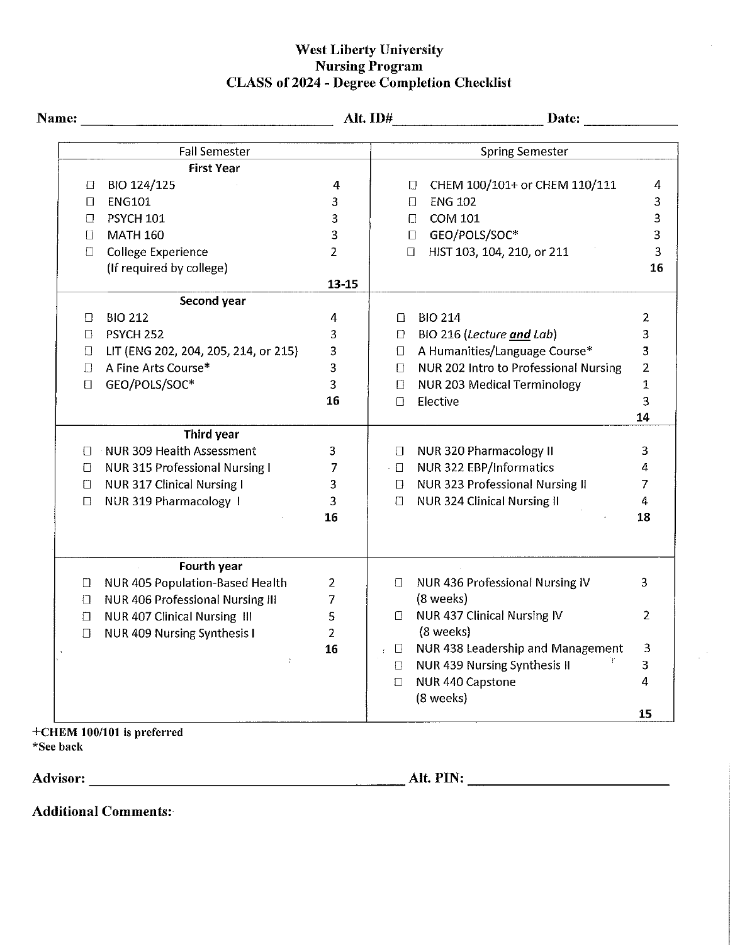## West Liberty University<br>Nursing Program<br>CLASS of 2024 - Degree Completion Checklist

|                                            |                                      |                |                        | Alt. ID#                                | Date: <u>Date:</u> |  |
|--------------------------------------------|--------------------------------------|----------------|------------------------|-----------------------------------------|--------------------|--|
| <b>Fall Semester</b>                       |                                      |                | <b>Spring Semester</b> |                                         |                    |  |
|                                            | <b>First Year</b>                    |                |                        |                                         |                    |  |
| BIO 124/125<br>□                           |                                      | 4              |                        | CHEM 100/101+ or CHEM 110/111<br>$\Box$ | 4                  |  |
| <b>ENG101</b><br>$\Box$                    |                                      | 3              |                        | <b>ENG 102</b><br>$\Box$                | 3                  |  |
| <b>PSYCH 101</b><br>$\Box$                 |                                      | 3              |                        | COM 101<br>$\Box$                       | 3                  |  |
| <b>MATH 160</b><br>f1.                     |                                      | 3              |                        | GEO/POLS/SOC*<br>$\Box$                 | 3                  |  |
| <b>College Experience</b><br>П             |                                      | $\overline{2}$ |                        | HIST 103, 104, 210, or 211<br>$\Box$    |                    |  |
| (If required by college)                   |                                      |                |                        |                                         | 16                 |  |
|                                            |                                      | $13 - 15$      |                        |                                         |                    |  |
|                                            | Second year                          |                |                        |                                         |                    |  |
| <b>BIO 212</b><br>$\Box$                   |                                      | 4              | $\Box$                 | <b>BIO 214</b>                          | $\overline{2}$     |  |
| PSYCH <sub>252</sub><br>$\Box$             |                                      | 3              | $\Box$                 | BIO 216 (Lecture and Lab)               | 3                  |  |
| $\Box$                                     | LIT (ENG 202, 204, 205, 214, or 215) | 3.             |                        | □ A Humanities/Language Course*         | 3                  |  |
| A Fine Arts Course*<br>$\Box$              |                                      | 3              |                        | □ NUR 202 Intro to Professional Nursing | $\overline{2}$     |  |
| GEO/POLS/SOC*<br>$\Box$                    |                                      | $\overline{3}$ |                        | □ NUR 203 Medical Terminology           | $\mathbf{1}$       |  |
|                                            |                                      | 16             |                        | □ Elective                              | 3                  |  |
|                                            |                                      |                |                        |                                         | 14                 |  |
|                                            | <b>Third year</b>                    |                |                        |                                         |                    |  |
| NUR 309 Health Assessment<br>$\Box$        |                                      | 3.             |                        | □ NUR 320 Pharmacology II               | 3                  |  |
| NUR 315 Professional Nursing I<br>$\Box$   |                                      | 7              |                        | - 0 NUR 322 EBP/Informatics             | 4                  |  |
| NUR 317 Clinical Nursing I<br>$\Box$       |                                      | 3              |                        | □ NUR 323 Professional Nursing II       | 7                  |  |
| NUR 319 Pharmacology 1<br>$\Box$           |                                      | 3              | $\Box$                 | NUR 324 Clinical Nursing II             | $\overline{4}$     |  |
|                                            |                                      | 16             |                        |                                         | 18                 |  |
|                                            | Fourth year                          |                |                        |                                         |                    |  |
| NUR 405 Population-Based Health<br>$\Box$  |                                      | $\overline{2}$ | $\Box$                 | NUR 436 Professional Nursing IV         | 3                  |  |
| NUR 406 Professional Nursing III<br>$\Box$ |                                      | $\overline{7}$ |                        | (8 weeks)                               |                    |  |
| NUR 407 Clinical Nursing III<br>$\Box$     |                                      | 5              |                        | □ NUR 437 Clinical Nursing IV           | $\overline{2}$     |  |
| NUR 409 Nursing Synthesis I<br>$\Box$      |                                      | $\overline{2}$ |                        | (8 weeks)                               |                    |  |
|                                            |                                      | 16             |                        | □ NUR 438 Leadership and Management     | 3                  |  |
|                                            | ÷.                                   |                | $\Box$                 | NUR 439 Nursing Synthesis II            | $\overline{3}$     |  |
|                                            |                                      |                | $\Box$                 | NUR 440 Capstone                        | 4                  |  |
|                                            |                                      |                |                        | (8 weeks)                               |                    |  |
|                                            |                                      |                |                        |                                         | 15                 |  |

+CHEM 100/101 is preferred \*See back

**Additional Comments:**